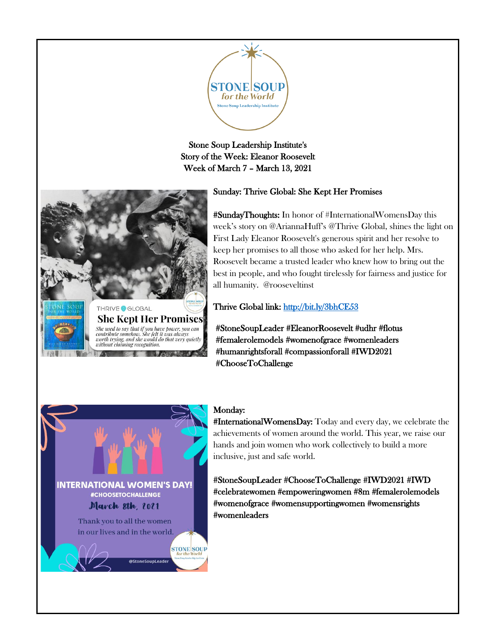

Stone Soup Leadership Institute's Story of the Week: Eleanor Roosevelt Week of March 7 – March 13, 2021



# Sunday: Thrive Global: She Kept Her Promises

#SundayThoughts: In honor of #InternationalWomensDay this week's story on @AriannaHuff's @Thrive Global, shines the light on First Lady Eleanor Roosevelt's generous spirit and her resolve to keep her promises to all those who asked for her help. Mrs. Roosevelt became a trusted leader who knew how to bring out the best in people, and who fought tirelessly for fairness and justice for all humanity. @rooseveltinst

Thrive Global link:<http://bit.ly/3bhCE53>

#StoneSoupLeader #EleanorRoosevelt #udhr #flotus #femalerolemodels #womenofgrace #womenleaders #humanrightsforall #compassionforall #IWD2021 #ChooseToChallenge



## Monday:

#InternationalWomensDay: Today and every day, we celebrate the achievements of women around the world. This year, we raise our hands and join women who work collectively to build a more inclusive, just and safe world.

#StoneSoupLeader #ChooseToChallenge #IWD2021 #IWD #celebratewomen #empoweringwomen #8m #femalerolemodels #womenofgrace [#womensupportingwomen](https://www.instagram.com/explore/tags/womensupportingwomen/) #womensrights #womenleaders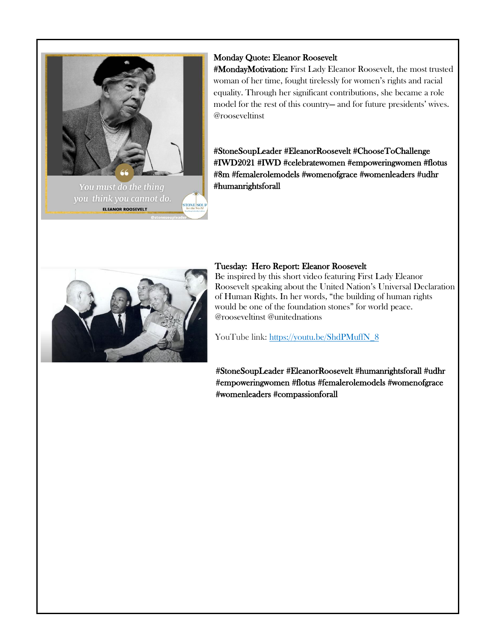

ELEANOR ROOSEVELT

## Monday Quote: Eleanor Roosevelt

#MondayMotivation: First Lady Eleanor Roosevelt, the most trusted woman of her time, fought tirelessly for women's rights and racial equality. Through her significant contributions, she became a role model for the rest of this country— and for future presidents' wives. @rooseveltinst

#StoneSoupLeader #EleanorRoosevelt #ChooseToChallenge #IWD2021 #IWD #celebratewomen #empoweringwomen #flotus #8m #femalerolemodels #womenofgrace #womenleaders #udhr #humanrightsforall



# Tuesday: Hero Report: Eleanor Roosevelt

Be inspired by this short video featuring First Lady Eleanor Roosevelt speaking about the United Nation's Universal Declaration of Human Rights. In her words, "the building of human rights would be one of the foundation stones" for world peace. @rooseveltinst @unitednations

YouTube link: [https://youtu.be/ShdPMuffN\\_8](https://youtu.be/ShdPMuffN_8)

#StoneSoupLeader #EleanorRoosevelt #humanrightsforall #udhr #empoweringwomen #flotus #femalerolemodels #womenofgrace #womenleaders #compassionforall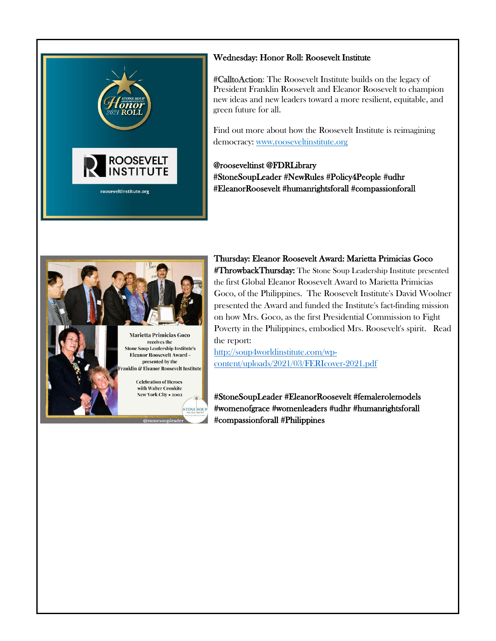

# Wednesday: Honor Roll: Roosevelt Institute

#CalltoAction: The Roosevelt Institute builds on the legacy of President Franklin Roosevelt and Eleanor Roosevelt to champion new ideas and new leaders toward a more resilient, equitable, and green future for all.

Find out more about how the Roosevelt Institute is reimagining democracy: [www.rooseveltinstitute.org](http://www.rooseveltinstitute.org/)

@rooseveltinst @FDRLibrary #StoneSoupLeader #NewRules #Policy4People #udhr #EleanorRoosevelt #humanrightsforall #compassionforall



Thursday: Eleanor Roosevelt Award: Marietta Primicias Goco #ThrowbackThursday: The Stone Soup Leadership Institute presented the first Global Eleanor Roosevelt Award to Marietta Primicias Goco, of the Philippines. The Roosevelt Institute's David Woolner presented the Award and funded the Institute's fact-finding mission on how Mrs. Goco, as the first Presidential Commission to Fight Poverty in the Philippines, embodied Mrs. Roosevelt's spirit. Read the report:

[http://soup4worldinstitute.com/wp](http://soup4worldinstitute.com/wp-content/uploads/2021/03/FERIcover-2021.pdf)[content/uploads/2021/03/FERIcover-2021.pdf](http://soup4worldinstitute.com/wp-content/uploads/2021/03/FERIcover-2021.pdf)

#StoneSoupLeader #EleanorRoosevelt #femalerolemodels #womenofgrace #womenleaders #udhr #humanrightsforall #compassionforall #Philippines